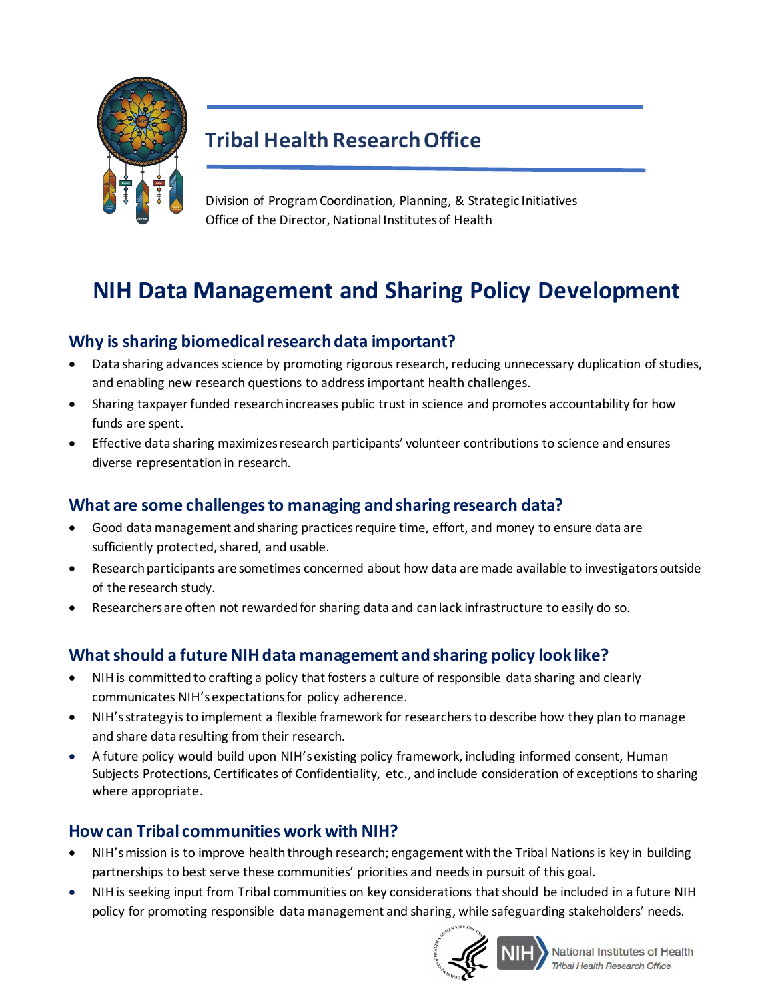

## **Tribal Health Research Office**

Division of Program Coordination, Planning, & Strategic Initiatives Office of the Director, National Institutes of Health

# **NIH Data Management and Sharing Policy Development**

### **Why is sharing biomedical research data important?**

- Data sharing advancesscience by promoting rigorous research, reducing unnecessary duplication of studies, and enabling new research questions to addressimportant health challenges.
- Sharing taxpayer funded research increases public trust in science and promotes accountability for how funds are spent.
- Effective data sharing maximizes research participants' volunteer contributions to science and ensures diverse representation in research.

### **What are some challenges to managing and sharing research data?**

- Good data management and sharing practices require time, effort, and money to ensure data are sufficiently protected, shared, and usable.
- Research participants are sometimes concerned about how data aremade available to investigators outside of the research study.
- Researchers are often not rewarded for sharing data and can lack infrastructure to easily do so.

### **What should a future NIH data management and sharing policy look like?**

- NIH is committed to crafting a policy that fosters a culture of responsible data sharing and clearly communicates NIH'sexpectationsfor policy adherence.
- NIH's strategy is to implement a flexible framework for researchers to describe how they plan to manage and share data resulting from their research.
- A future policy would build upon NIH's existing policy framework, including informed consent, Human Subjects Protections, Certificates of Confidentiality, etc., andinclude consideration of exceptions to sharing where appropriate.

### **How can Tribal communities work with NIH?**

- NIH's mission is to improve health through research; engagement with the Tribal Nations is key in building partnerships to best serve these communities' priorities and needs in pursuit of this goal.
- NIH is seeking input from Tribal communities on key considerations that should be included in a future NIH policy for promoting responsible data management and sharing, while safeguarding stakeholders' needs.